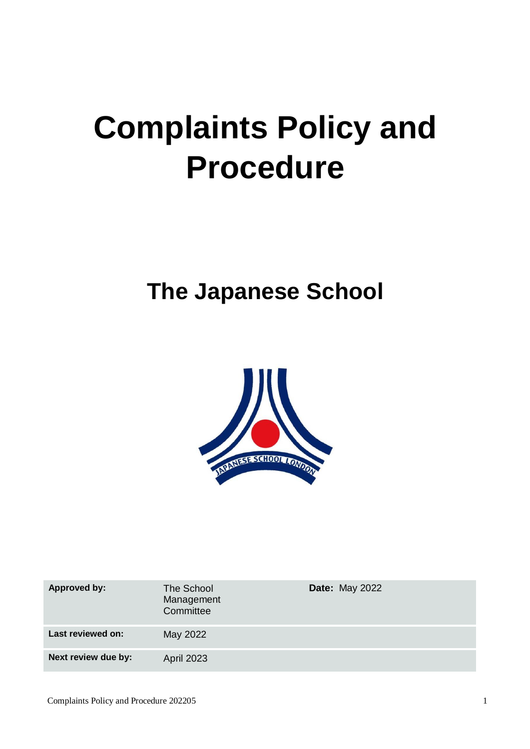# **Complaints Policy and Procedure**

## **The Japanese School**



| <b>Approved by:</b> | The School<br>Management<br>Committee | <b>Date: May 2022</b> |
|---------------------|---------------------------------------|-----------------------|
| Last reviewed on:   | May 2022                              |                       |
| Next review due by: | <b>April 2023</b>                     |                       |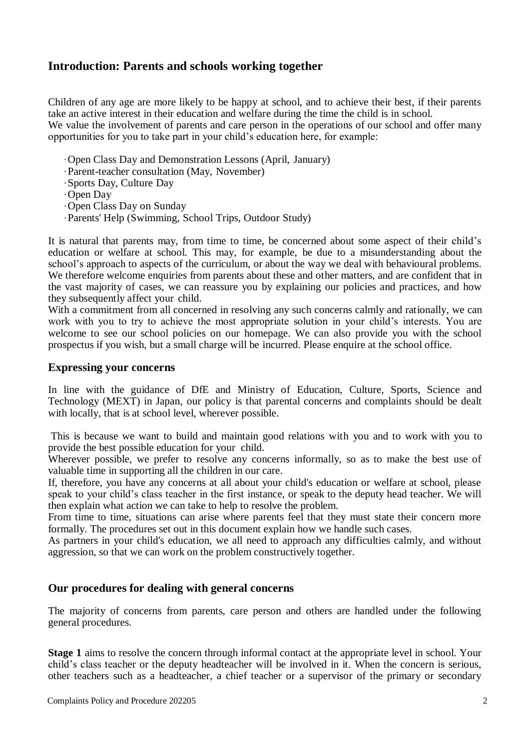### **Introduction: Parents and schools working together**

Children of any age are more likely to be happy at school, and to achieve their best, if their parents take an active interest in their education and welfare during the time the child is in school. We value the involvement of parents and care person in the operations of our school and offer many opportunities for you to take part in your child's education here, for example:

- ·Open Class Day and Demonstration Lessons (April, January)
- ·Parent-teacher consultation (May, November)
- ·Sports Day, Culture Day
- ·Open Day
- ·Open Class Day on Sunday
- ·Parents' Help (Swimming, School Trips, Outdoor Study)

It is natural that parents may, from time to time, be concerned about some aspect of their child's education or welfare at school. This may, for example, be due to a misunderstanding about the school's approach to aspects of the curriculum, or about the way we deal with behavioural problems. We therefore welcome enquiries from parents about these and other matters, and are confident that in the vast majority of cases, we can reassure you by explaining our policies and practices, and how they subsequently affect your child.

With a commitment from all concerned in resolving any such concerns calmly and rationally, we can work with you to try to achieve the most appropriate solution in your child's interests. You are welcome to see our school policies on our homepage. We can also provide you with the school prospectus if you wish, but a small charge will be incurred. Please enquire at the school office.

#### **Expressing your concerns**

In line with the guidance of DfE and Ministry of Education, Culture, Sports, Science and Technology (MEXT) in Japan, our policy is that parental concerns and complaints should be dealt with locally, that is at school level, wherever possible.

This is because we want to build and maintain good relations with you and to work with you to provide the best possible education for your child.

Wherever possible, we prefer to resolve any concerns informally, so as to make the best use of valuable time in supporting all the children in our care.

If, therefore, you have any concerns at all about your child's education or welfare at school, please speak to your child's class teacher in the first instance, or speak to the deputy head teacher. We will then explain what action we can take to help to resolve the problem.

From time to time, situations can arise where parents feel that they must state their concern more formally. The procedures set out in this document explain how we handle such cases.

As partners in your child's education, we all need to approach any difficulties calmly, and without aggression, so that we can work on the problem constructively together.

#### **Our procedures for dealing with general concerns**

The majority of concerns from parents, care person and others are handled under the following general procedures.

**Stage 1** aims to resolve the concern through informal contact at the appropriate level in school. Your child's class teacher or the deputy headteacher will be involved in it. When the concern is serious, other teachers such as a headteacher, a chief teacher or a supervisor of the primary or secondary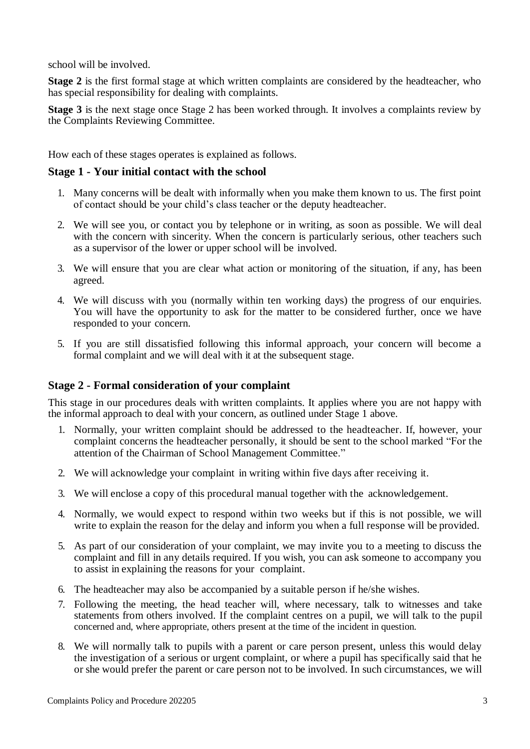school will be involved.

**Stage 2** is the first formal stage at which written complaints are considered by the headteacher, who has special responsibility for dealing with complaints.

**Stage 3** is the next stage once Stage 2 has been worked through. It involves a complaints review by the Complaints Reviewing Committee.

How each of these stages operates is explained as follows.

#### **Stage 1 - Your initial contact with the school**

- 1. Many concerns will be dealt with informally when you make them known to us. The first point of contact should be your child's class teacher or the deputy headteacher.
- 2. We will see you, or contact you by telephone or in writing, as soon as possible. We will deal with the concern with sincerity. When the concern is particularly serious, other teachers such as a supervisor of the lower or upper school will be involved.
- 3. We will ensure that you are clear what action or monitoring of the situation, if any, has been agreed.
- 4. We will discuss with you (normally within ten working days) the progress of our enquiries. You will have the opportunity to ask for the matter to be considered further, once we have responded to your concern.
- 5. If you are still dissatisfied following this informal approach, your concern will become a formal complaint and we will deal with it at the subsequent stage.

#### **Stage 2 - Formal consideration of your complaint**

This stage in our procedures deals with written complaints. It applies where you are not happy with the informal approach to deal with your concern, as outlined under Stage 1 above.

- 1. Normally, your written complaint should be addressed to the headteacher. If, however, your complaint concerns the headteacher personally, it should be sent to the school marked "For the attention of the Chairman of School Management Committee."
- 2. We will acknowledge your complaint in writing within five days after receiving it.
- 3. We will enclose a copy of this procedural manual together with the acknowledgement.
- 4. Normally, we would expect to respond within two weeks but if this is not possible, we will write to explain the reason for the delay and inform you when a full response will be provided.
- 5. As part of our consideration of your complaint, we may invite you to a meeting to discuss the complaint and fill in any details required. If you wish, you can ask someone to accompany you to assist in explaining the reasons for your complaint.
- 6. The headteacher may also be accompanied by a suitable person if he/she wishes.
- 7. Following the meeting, the head teacher will, where necessary, talk to witnesses and take statements from others involved. If the complaint centres on a pupil, we will talk to the pupil concerned and, where appropriate, others present at the time of the incident in question.
- 8. We will normally talk to pupils with a parent or care person present, unless this would delay the investigation of a serious or urgent complaint, or where a pupil has specifically said that he or she would prefer the parent or care person not to be involved. In such circumstances, we will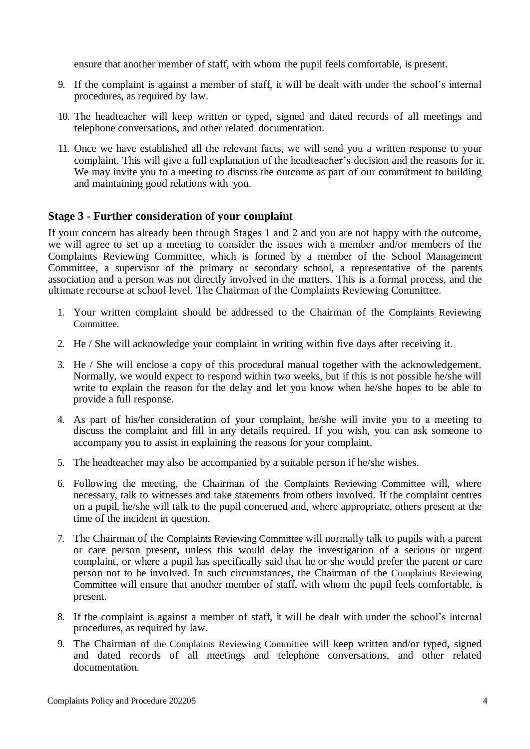ensure that another member of staff, with whom the pupil feels comfortable, is present.

- 9. If the complaint is against a member of staff, it will be dealt with under the school's internal procedures, as required by law.
- 10. The headteacher will keep written or typed, signed and dated records of all meetings and telephone conversations, and other related documentation.
- 11. Once we have established all the relevant facts, we will send you a written response to your complaint. This will give a full explanation of the headteacher's decision and the reasons for it. We may invite you to a meeting to discuss the outcome as part of our commitment to building and maintaining good relations with you.

#### **Stage 3 - Further consideration of your complaint**

If your concern has already been through Stages 1 and 2 and you are not happy with the outcome, we will agree to set up a meeting to consider the issues with a member and/or members of the Complaints Reviewing Committee, which is formed by a member of the School Management Committee, a supervisor of the primary or secondary school, a representative of the parents association and a person was not directly involved in the matters. This is a formal process, and the ultimate recourse at school level. The Chairman of the Complaints Reviewing Committee.

- 1. Your written complaint should be addressed to the Chairman of the Complaints Reviewing Committee.
- 2. He / She will acknowledge your complaint in writing within five days after receiving it.
- 3. He / She will enclose a copy of this procedural manual together with the acknowledgement. Normally, we would expect to respond within two weeks, but if this is not possible he/she will write to explain the reason for the delay and let you know when he/she hopes to be able to provide a full response.
- 4. As part of his/her consideration of your complaint, he/she will invite you to a meeting to discuss the complaint and fill in any details required. If you wish, you can ask someone to accompany you to assist in explaining the reasons for your complaint.
- 5. The headteacher may also be accompanied by a suitable person if he/she wishes.
- 6. Following the meeting, the Chairman of the Complaints Reviewing Committee will, where necessary, talk to witnesses and take statements from others involved. If the complaint centres on a pupil, he/she will talk to the pupil concerned and, where appropriate, others present at the time of the incident in question.
- 7. The Chairman of the Complaints Reviewing Committee will normally talk to pupils with a parent or care person present, unless this would delay the investigation of a serious or urgent complaint, or where a pupil has specifically said that he or she would prefer the parent or care person not to be involved. In such circumstances, the Chairman of the Complaints Reviewing Committee will ensure that another member of staff, with whom the pupil feels comfortable, is present.
- 8. If the complaint is against a member of staff, it will be dealt with under the school's internal procedures, as required by law.
- 9. The Chairman of the Complaints Reviewing Committee will keep written and/or typed, signed and dated records of all meetings and telephone conversations, and other related documentation.